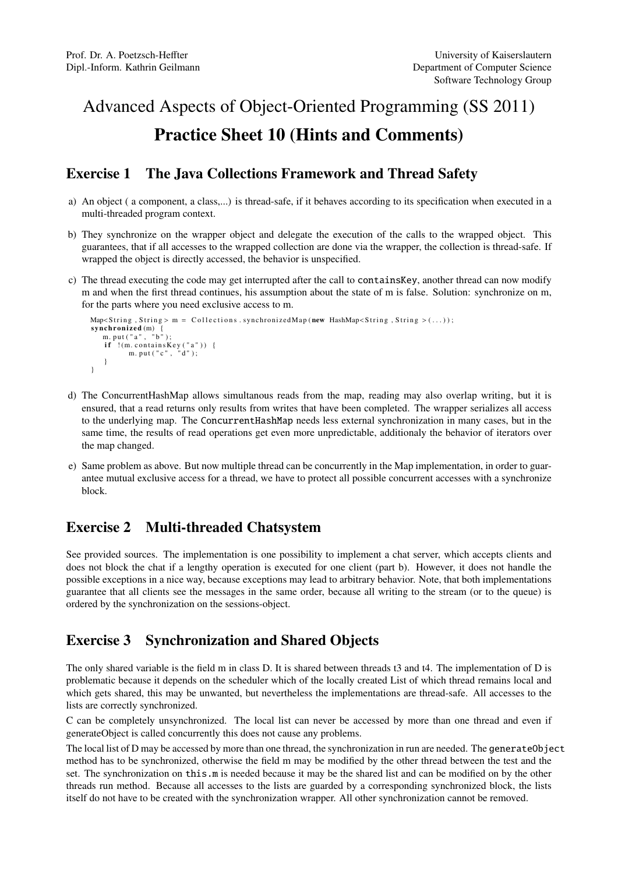## Advanced Aspects of Object-Oriented Programming (SS 2011) Practice Sheet 10 (Hints and Comments)

## Exercise 1 The Java Collections Framework and Thread Safety

- a) An object ( a component, a class,...) is thread-safe, if it behaves according to its specification when executed in a multi-threaded program context.
- b) They synchronize on the wrapper object and delegate the execution of the calls to the wrapped object. This guarantees, that if all accesses to the wrapped collection are done via the wrapper, the collection is thread-safe. If wrapped the object is directly accessed, the behavior is unspecified.
- c) The thread executing the code may get interrupted after the call to containsKey, another thread can now modify m and when the first thread continues, his assumption about the state of m is false. Solution: synchronize on m, for the parts where you need exclusive access to m.

```
\text{Map-Sstring }, \text{String} > m = \text{Collections }. synchronized\text{Map} (new \text{HashMap-Sstring }, \text{String }) (...));
synchronized (m) {<br>m_nut("a" "b")
    m. put ("a",
      if !(m.\text{containsKey}("a")) {\{ \n m.\text{put}("c", "d");\n }}
}
```
- d) The ConcurrentHashMap allows simultanous reads from the map, reading may also overlap writing, but it is ensured, that a read returns only results from writes that have been completed. The wrapper serializes all access to the underlying map. The ConcurrentHashMap needs less external synchronization in many cases, but in the same time, the results of read operations get even more unpredictable, additionaly the behavior of iterators over the map changed.
- e) Same problem as above. But now multiple thread can be concurrently in the Map implementation, in order to guarantee mutual exclusive access for a thread, we have to protect all possible concurrent accesses with a synchronize block.

## Exercise 2 Multi-threaded Chatsystem

See provided sources. The implementation is one possibility to implement a chat server, which accepts clients and does not block the chat if a lengthy operation is executed for one client (part b). However, it does not handle the possible exceptions in a nice way, because exceptions may lead to arbitrary behavior. Note, that both implementations guarantee that all clients see the messages in the same order, because all writing to the stream (or to the queue) is ordered by the synchronization on the sessions-object.

## Exercise 3 Synchronization and Shared Objects

The only shared variable is the field m in class D. It is shared between threads t3 and t4. The implementation of D is problematic because it depends on the scheduler which of the locally created List of which thread remains local and which gets shared, this may be unwanted, but nevertheless the implementations are thread-safe. All accesses to the lists are correctly synchronized.

C can be completely unsynchronized. The local list can never be accessed by more than one thread and even if generateObject is called concurrently this does not cause any problems.

The local list of D may be accessed by more than one thread, the synchronization in run are needed. The generateObject method has to be synchronized, otherwise the field m may be modified by the other thread between the test and the set. The synchronization on this.m is needed because it may be the shared list and can be modified on by the other threads run method. Because all accesses to the lists are guarded by a corresponding synchronized block, the lists itself do not have to be created with the synchronization wrapper. All other synchronization cannot be removed.